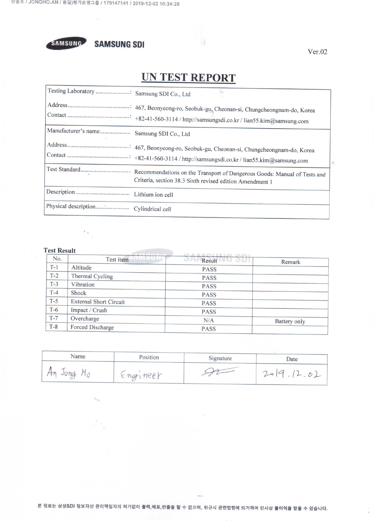

**SAMSUNG SDI** 

 $Ver.02$ 

 $\mathcal{C}^{(1)}$ 

## **UN TEST REPORT**

À

|                                          | $\Delta \nu$                                             |
|------------------------------------------|----------------------------------------------------------|
|                                          |                                                          |
| Manufacturer's name Samsung SDI Co., Ltd |                                                          |
|                                          |                                                          |
|                                          | Criteria, section 38.3 Sixth revised edition Amendment 1 |
|                                          |                                                          |
|                                          |                                                          |

## **Test Result**

 $\mathbf{v}_{\rm{out}}$ 

 $\frac{1}{\sqrt{2}}$ 

| No.   | Test item                     | <b>BUT</b><br>Result | Remark       |
|-------|-------------------------------|----------------------|--------------|
| $T-1$ | Altitude                      | <b>PASS</b>          |              |
| $T-2$ | Thermal Cycling               | <b>PASS</b>          |              |
| $T-3$ | Vibration                     | <b>PASS</b>          |              |
| $T-4$ | Shock                         | <b>PASS</b>          |              |
| $T-5$ | <b>External Short Circuit</b> | <b>PASS</b>          |              |
| $T-6$ | Impact / Crush                | <b>PASS</b>          |              |
| $T-7$ | Overcharge                    | N/A                  | Battery only |
| $T-8$ | Forced Discharge              | <b>PASS</b>          |              |

| Name   | Position | Signature | Date          |  |  |
|--------|----------|-----------|---------------|--|--|
| · Jong | Engineer |           | 12.01<br>2019 |  |  |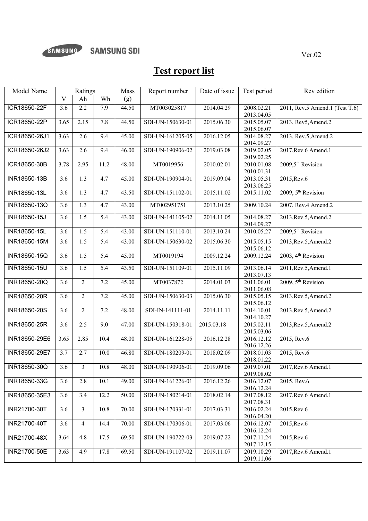

## **Test report list**

| Model Name    |                  | Ratings          |                  | Mass               | Report number    | Date of issue | Test period              | Rev edition                     |
|---------------|------------------|------------------|------------------|--------------------|------------------|---------------|--------------------------|---------------------------------|
|               | $\mathbf{V}$     | Ah               | Wh               | (g)                |                  |               |                          |                                 |
| ICR18650-22F  | 3.6              | 2.2              | 7.9              | 44.50              | MT003025817      | 2014.04.29    | 2008.02.21<br>2013.04.05 | 2011, Rev.5 Amend.1 (Test T.6)  |
| ICR18650-22P  | 3.65             | 2.15             | 7.8              | 44.50              | SDI-UN-150630-01 | 2015.06.30    | 2015.05.07<br>2015.06.07 | 2013, Rev5, Amend.2             |
| ICR18650-26J1 | 3.63             | 2.6              | 9.4              | 45.00              | SDI-UN-161205-05 | 2016.12.05    | 2014.08.27<br>2014.09.27 | 2013, Rev.5, Amend.2            |
| ICR18650-26J2 | 3.63             | 2.6              | 9.4              | 46.00              | SDI-UN-190906-02 | 2019.03.08    | 2019.02.05<br>2019.02.25 | 2017, Rev. 6 Amend. 1           |
| ICR18650-30B  | 3.78             | 2.95             | 11.2             | 48.00              | MT0019956        | 2010.02.01    | 2010.01.08<br>2010.01.31 | $2009,5$ <sup>th</sup> Revision |
| INR18650-13B  | 3.6              | 1.3              | 4.7              | 45.00              | SDI-UN-190904-01 | 2019.09.04    | 2013.05.31<br>2013.06.25 | 2015, Rev. 6                    |
| INR18650-13L  | 3.6              | 1.3              | 4.7              | 43.50              | SDI-UN-151102-01 | 2015.11.02    | 2015.11.02               | 2009, 5 <sup>th</sup> Revision  |
| INR18650-13Q  | 3.6              | 1.3              | 4.7              | 43.00              | MT002951751      | 2013.10.25    | 2009.10.24               | 2007, Rev.4 Amend.2             |
| INR18650-15J  | 3.6              | $\overline{1.5}$ | $\overline{5.4}$ | 43.00              | SDI-UN-141105-02 | 2014.11.05    | 2014.08.27<br>2014.09.27 | 2013, Rev. 5, Amend. 2          |
| INR18650-15L  | $\overline{3.6}$ | $\overline{1.5}$ | $\overline{5.4}$ | 43.00              | SDI-UN-151110-01 | 2013.10.24    | 2010.05.27               | 2009,5 <sup>th</sup> Revision   |
| INR18650-15M  | 3.6              | 1.5              | 5.4              | 43.00              | SDI-UN-150630-02 | 2015.06.30    | 2015.05.15<br>2015.06.12 | 2013, Rev. 5, Amend. 2          |
| INR18650-15Q  | 3.6              | 1.5              | 5.4              | 45.00              | MT0019194        | 2009.12.24    | 2009.12.24               | 2003, 4 <sup>th</sup> Revision  |
| INR18650-15U  | 3.6              | 1.5              | 5.4              | $\overline{43.50}$ | SDI-UN-151109-01 | 2015.11.09    | 2013.06.14<br>2013.07.13 | 2011, Rev. 5, Amend. 1          |
| INR18650-20Q  | 3.6              | 2                | 7.2              | 45.00              | MT0037872        | 2014.01.03    | 2011.06.01<br>2011.06.08 | 2009, 5 <sup>th</sup> Revision  |
| INR18650-20R  | 3.6              | $\sqrt{2}$       | 7.2              | 45.00              | SDI-UN-150630-03 | 2015.06.30    | 2015.05.15<br>2015.06.12 | 2013, Rev. 5, Amend. 2          |
| INR18650-20S  | 3.6              | $\overline{2}$   | 7.2              | 48.00              | SDI-IN-141111-01 | 2014.11.11    | 2014.10.01<br>2014.10.27 | 2013, Rev. 5, Amend. 2          |
| INR18650-25R  | 3.6              | 2.5              | 9.0              | 47.00              | SDI-UN-150318-01 | 2015.03.18    | 2015.02.11<br>2015.03.06 | 2013, Rev. 5, Amend. 2          |
| INR18650-29E6 | 3.65             | 2.85             | 10.4             | $\overline{48.00}$ | SDI-UN-161228-05 | 2016.12.28    | 2016.12.12<br>2016.12.26 | 2015, Rev.6                     |
| INR18650-29E7 | 3.7              | 2.7              | 10.0             | 46.80              | SDI-UN-180209-01 | 2018.02.09    | 2018.01.03<br>2018.01.22 | 2015, Rev.6                     |
| INR18650-30Q  | 3.6              | 3                | 10.8             | 48.00              | SDI-UN-190906-01 | 2019.09.06    | 2019.07.01<br>2019.08.02 | 2017, Rev. 6 Amend. 1           |
| INR18650-33G  | 3.6              | 2.8              | 10.1             | 49.00              | SDI-UN-161226-01 | 2016.12.26    | 2016.12.07<br>2016.12.24 | 2015, Rev.6                     |
| INR18650-35E3 | 3.6              | 3.4              | 12.2             | 50.00              | SDI-UN-180214-01 | 2018.02.14    | 2017.08.12<br>2017.08.31 | 2017, Rev. 6 Amend. 1           |
| INR21700-30T  | 3.6              | $\overline{3}$   | 10.8             | 70.00              | SDI-UN-170331-01 | 2017.03.31    | 2016.02.24<br>2016.04.20 | 2015, Rev. 6                    |
| INR21700-40T  | 3.6              | $\overline{4}$   | 14.4             | 70.00              | SDI-UN-170306-01 | 2017.03.06    | 2016.12.07<br>2016.12.24 | 2015, Rev. 6                    |
| INR21700-48X  | 3.64             | 4.8              | 17.5             | 69.50              | SDI-UN-190722-03 | 2019.07.22    | 2017.11.24<br>2017.12.15 | 2015, Rev. 6                    |
| INR21700-50E  | 3.63             | 4.9              | 17.8             | 69.50              | SDI-UN-191107-02 | 2019.11.07    | 2019.10.29<br>2019.11.06 | 2017, Rev. 6 Amend. 1           |